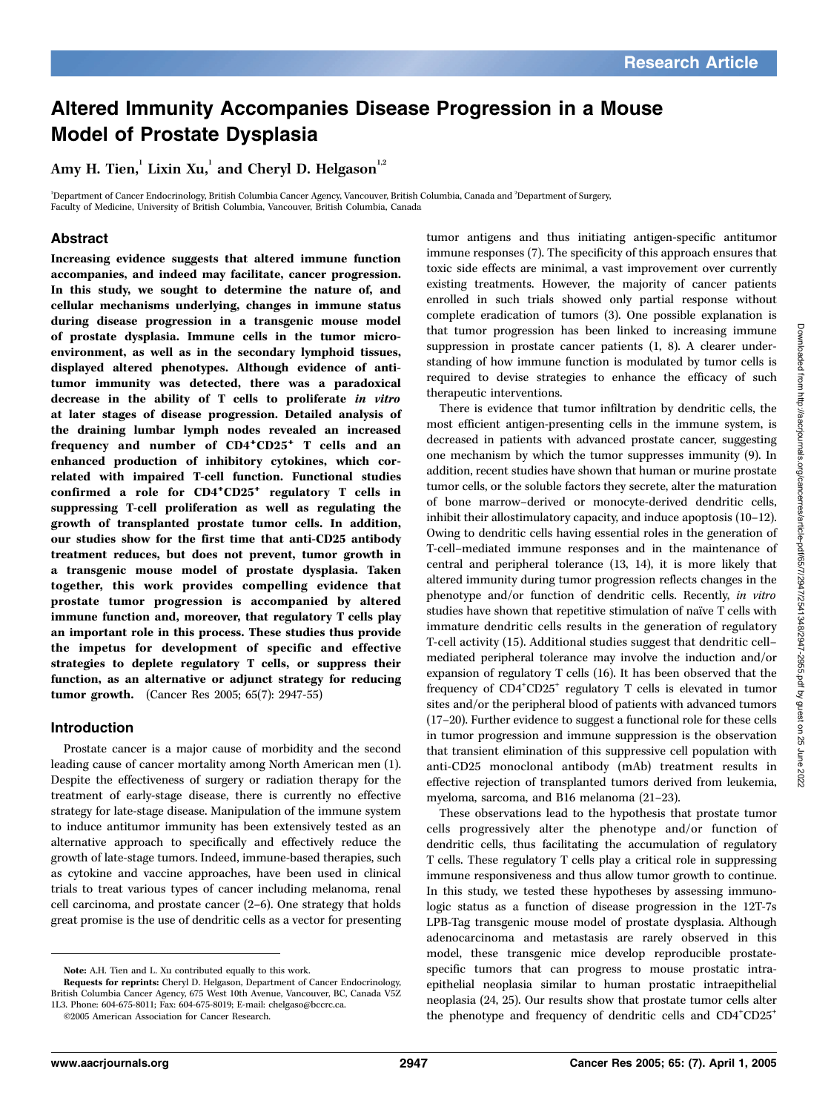# Downloaded from http://aacrjournals.org/cancerres/article-pdf/65/7/2947/2541348/2947-2955.pdf by guest on 25 June 2022 Downloaded from http://aacrjournals.org/cancerres/article-pdf/65/7/2947/2541348/2947-2955.pdf by guest on 25 June 2022

# Altered Immunity Accompanies Disease Progression in a Mouse Model of Prostate Dysplasia

Amy H. Tien, $^{\rm l}$  Lixin Xu, $^{\rm l}$  and Cheryl D. Helgason $^{\rm l,2}$ 

<sup>1</sup>Department of Cancer Endocrinology, British Columbia Cancer Agency, Vancouver, British Columbia, Canada and <sup>2</sup>Department of Surgery, Faculty of Medicine, University of British Columbia, Vancouver, British Columbia, Canada

## **Abstract**

Increasing evidence suggests that altered immune function accompanies, and indeed may facilitate, cancer progression. In this study, we sought to determine the nature of, and cellular mechanisms underlying, changes in immune status during disease progression in a transgenic mouse model of prostate dysplasia. Immune cells in the tumor microenvironment, as well as in the secondary lymphoid tissues, displayed altered phenotypes. Although evidence of antitumor immunity was detected, there was a paradoxical decrease in the ability of T cells to proliferate in vitro at later stages of disease progression. Detailed analysis of the draining lumbar lymph nodes revealed an increased frequency and number of  $CD4\textsuperscript{+}CD25\textsuperscript{+}$  T cells and an enhanced production of inhibitory cytokines, which correlated with impaired T-cell function. Functional studies confirmed a role for  $CD4^+CD25^+$  regulatory T cells in suppressing T-cell proliferation as well as regulating the growth of transplanted prostate tumor cells. In addition, our studies show for the first time that anti-CD25 antibody treatment reduces, but does not prevent, tumor growth in a transgenic mouse model of prostate dysplasia. Taken together, this work provides compelling evidence that prostate tumor progression is accompanied by altered immune function and, moreover, that regulatory T cells play an important role in this process. These studies thus provide the impetus for development of specific and effective strategies to deplete regulatory T cells, or suppress their function, as an alternative or adjunct strategy for reducing tumor growth. (Cancer Res 2005; 65(7): 2947-55)

### Introduction

Prostate cancer is a major cause of morbidity and the second leading cause of cancer mortality among North American men (1). Despite the effectiveness of surgery or radiation therapy for the treatment of early-stage disease, there is currently no effective strategy for late-stage disease. Manipulation of the immune system to induce antitumor immunity has been extensively tested as an alternative approach to specifically and effectively reduce the growth of late-stage tumors. Indeed, immune-based therapies, such as cytokine and vaccine approaches, have been used in clinical trials to treat various types of cancer including melanoma, renal cell carcinoma, and prostate cancer (2–6). One strategy that holds great promise is the use of dendritic cells as a vector for presenting tumor antigens and thus initiating antigen-specific antitumor immune responses (7). The specificity of this approach ensures that toxic side effects are minimal, a vast improvement over currently existing treatments. However, the majority of cancer patients enrolled in such trials showed only partial response without complete eradication of tumors (3). One possible explanation is that tumor progression has been linked to increasing immune suppression in prostate cancer patients (1, 8). A clearer understanding of how immune function is modulated by tumor cells is required to devise strategies to enhance the efficacy of such therapeutic interventions.

There is evidence that tumor infiltration by dendritic cells, the most efficient antigen-presenting cells in the immune system, is decreased in patients with advanced prostate cancer, suggesting one mechanism by which the tumor suppresses immunity (9). In addition, recent studies have shown that human or murine prostate tumor cells, or the soluble factors they secrete, alter the maturation of bone marrow–derived or monocyte-derived dendritic cells, inhibit their allostimulatory capacity, and induce apoptosis (10–12). Owing to dendritic cells having essential roles in the generation of T-cell–mediated immune responses and in the maintenance of central and peripheral tolerance (13, 14), it is more likely that altered immunity during tumor progression reflects changes in the phenotype and/or function of dendritic cells. Recently, in vitro studies have shown that repetitive stimulation of naïve T cells with immature dendritic cells results in the generation of regulatory T-cell activity (15). Additional studies suggest that dendritic cell– mediated peripheral tolerance may involve the induction and/or expansion of regulatory T cells (16). It has been observed that the frequency of CD4<sup>+</sup>CD25<sup>+</sup> regulatory T cells is elevated in tumor sites and/or the peripheral blood of patients with advanced tumors (17–20). Further evidence to suggest a functional role for these cells in tumor progression and immune suppression is the observation that transient elimination of this suppressive cell population with anti-CD25 monoclonal antibody (mAb) treatment results in effective rejection of transplanted tumors derived from leukemia, myeloma, sarcoma, and B16 melanoma (21–23).

These observations lead to the hypothesis that prostate tumor cells progressively alter the phenotype and/or function of dendritic cells, thus facilitating the accumulation of regulatory T cells. These regulatory T cells play a critical role in suppressing immune responsiveness and thus allow tumor growth to continue. In this study, we tested these hypotheses by assessing immunologic status as a function of disease progression in the 12T-7s LPB-Tag transgenic mouse model of prostate dysplasia. Although adenocarcinoma and metastasis are rarely observed in this model, these transgenic mice develop reproducible prostatespecific tumors that can progress to mouse prostatic intraepithelial neoplasia similar to human prostatic intraepithelial neoplasia (24, 25). Our results show that prostate tumor cells alter the phenotype and frequency of dendritic cells and CD4<sup>+</sup>CD25<sup>+</sup>

Note: A.H. Tien and L. Xu contributed equally to this work.

Requests for reprints: Cheryl D. Helgason, Department of Cancer Endocrinology, British Columbia Cancer Agency, 675 West 10th Avenue, Vancouver, BC, Canada V5Z 1L3. Phone: 604-675-8011; Fax: 604-675-8019; E-mail: chelgaso@bccrc.ca.

<sup>©2005</sup> American Association for Cancer Research.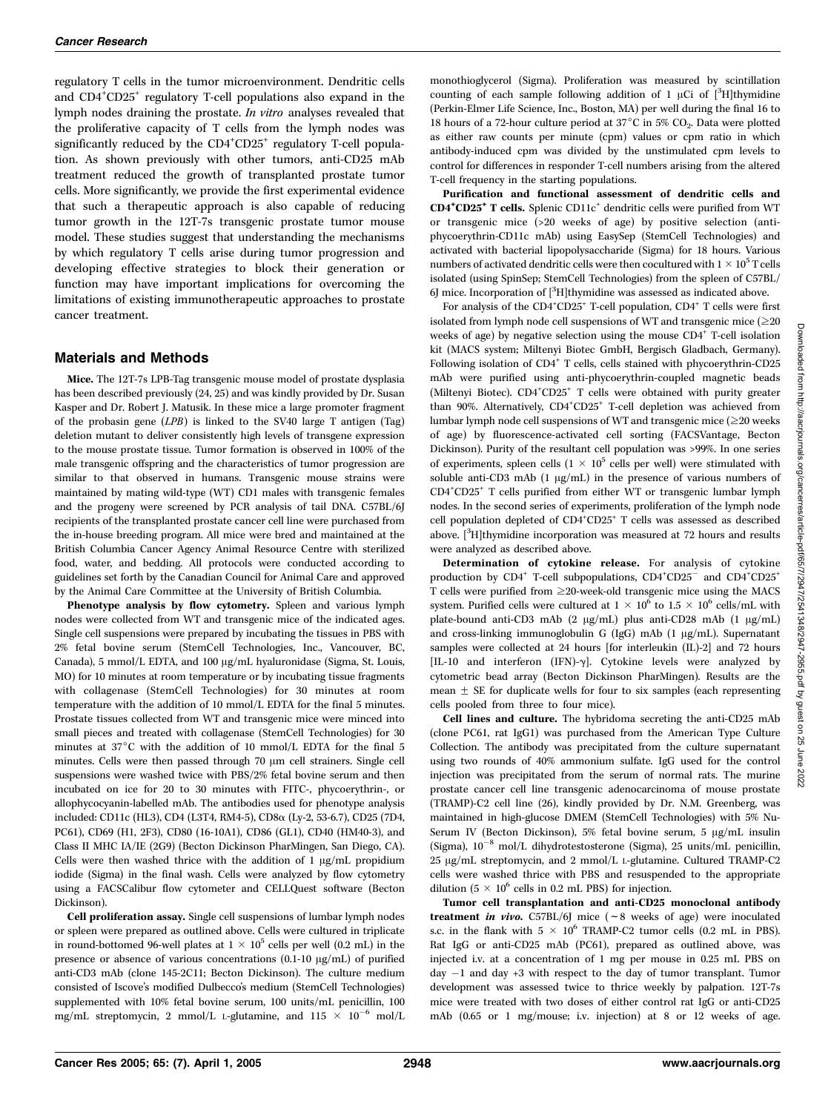regulatory T cells in the tumor microenvironment. Dendritic cells and CD4<sup>+</sup> CD25<sup>+</sup> regulatory T-cell populations also expand in the lymph nodes draining the prostate. In vitro analyses revealed that the proliferative capacity of T cells from the lymph nodes was significantly reduced by the CD4<sup>+</sup>CD25<sup>+</sup> regulatory T-cell population. As shown previously with other tumors, anti-CD25 mAb treatment reduced the growth of transplanted prostate tumor cells. More significantly, we provide the first experimental evidence that such a therapeutic approach is also capable of reducing tumor growth in the 12T-7s transgenic prostate tumor mouse model. These studies suggest that understanding the mechanisms by which regulatory T cells arise during tumor progression and developing effective strategies to block their generation or function may have important implications for overcoming the limitations of existing immunotherapeutic approaches to prostate cancer treatment.

### Materials and Methods

Mice. The 12T-7s LPB-Tag transgenic mouse model of prostate dysplasia has been described previously (24, 25) and was kindly provided by Dr. Susan Kasper and Dr. Robert J. Matusik. In these mice a large promoter fragment of the probasin gene (LPB) is linked to the SV40 large T antigen (Tag) deletion mutant to deliver consistently high levels of transgene expression to the mouse prostate tissue. Tumor formation is observed in 100% of the male transgenic offspring and the characteristics of tumor progression are similar to that observed in humans. Transgenic mouse strains were maintained by mating wild-type (WT) CD1 males with transgenic females and the progeny were screened by PCR analysis of tail DNA. C57BL/6J recipients of the transplanted prostate cancer cell line were purchased from the in-house breeding program. All mice were bred and maintained at the British Columbia Cancer Agency Animal Resource Centre with sterilized food, water, and bedding. All protocols were conducted according to guidelines set forth by the Canadian Council for Animal Care and approved by the Animal Care Committee at the University of British Columbia.

Phenotype analysis by flow cytometry. Spleen and various lymph nodes were collected from WT and transgenic mice of the indicated ages. Single cell suspensions were prepared by incubating the tissues in PBS with 2% fetal bovine serum (StemCell Technologies, Inc., Vancouver, BC, Canada), 5 mmol/L EDTA, and 100 µg/mL hyaluronidase (Sigma, St. Louis, MO) for 10 minutes at room temperature or by incubating tissue fragments with collagenase (StemCell Technologies) for 30 minutes at room temperature with the addition of 10 mmol/L EDTA for the final 5 minutes. Prostate tissues collected from WT and transgenic mice were minced into small pieces and treated with collagenase (StemCell Technologies) for 30 minutes at 37 $^{\circ}$ C with the addition of 10 mmol/L EDTA for the final 5 minutes. Cells were then passed through 70  $\mu$ m cell strainers. Single cell suspensions were washed twice with PBS/2% fetal bovine serum and then incubated on ice for 20 to 30 minutes with FITC-, phycoerythrin-, or allophycocyanin-labelled mAb. The antibodies used for phenotype analysis included: CD11c (HL3), CD4 (L3T4, RM4-5), CD8a (Ly-2, 53-6.7), CD25 (7D4, PC61), CD69 (H1, 2F3), CD80 (16-10A1), CD86 (GL1), CD40 (HM40-3), and Class II MHC IA/IE (2G9) (Becton Dickinson PharMingen, San Diego, CA). Cells were then washed thrice with the addition of  $1 \mu g/mL$  propidium iodide (Sigma) in the final wash. Cells were analyzed by flow cytometry using a FACSCalibur flow cytometer and CELLQuest software (Becton Dickinson).

Cell proliferation assay. Single cell suspensions of lumbar lymph nodes or spleen were prepared as outlined above. Cells were cultured in triplicate in round-bottomed 96-well plates at  $1 \times 10^5$  cells per well (0.2 mL) in the presence or absence of various concentrations  $(0.1-10 \mu g/mL)$  of purified anti-CD3 mAb (clone 145-2C11; Becton Dickinson). The culture medium consisted of Iscove's modified Dulbecco's medium (StemCell Technologies) supplemented with 10% fetal bovine serum, 100 units/mL penicillin, 100 mg/mL streptomycin, 2 mmol/L L-glutamine, and  $115 \times 10^{-6}$  mol/L

monothioglycerol (Sigma). Proliferation was measured by scintillation counting of each sample following addition of 1  $\mu$ Ci of [3H]thymidine (Perkin-Elmer Life Science, Inc., Boston, MA) per well during the final 16 to 18 hours of a 72-hour culture period at  $37^{\circ}$ C in 5% CO<sub>2</sub>. Data were plotted as either raw counts per minute (cpm) values or cpm ratio in which antibody-induced cpm was divided by the unstimulated cpm levels to control for differences in responder T-cell numbers arising from the altered T-cell frequency in the starting populations.

Purification and functional assessment of dendritic cells and CD4<sup>+</sup>CD25<sup>+</sup> T cells. Splenic CD11c<sup>+</sup> dendritic cells were purified from WT or transgenic mice (>20 weeks of age) by positive selection (antiphycoerythrin-CD11c mAb) using EasySep (StemCell Technologies) and activated with bacterial lipopolysaccharide (Sigma) for 18 hours. Various numbers of activated dendritic cells were then cocultured with  $1 \times 10^5 \, \mathrm{T}$  cells isolated (using SpinSep; StemCell Technologies) from the spleen of C57BL/ 6J mice. Incorporation of  $[^3H]$ thymidine was assessed as indicated above.

For analysis of the CD4<sup>+</sup>CD25<sup>+</sup> T-cell population, CD4<sup>+</sup> T cells were first isolated from lymph node cell suspensions of WT and transgenic mice  $(\geq 20$ weeks of age) by negative selection using the mouse CD4<sup>+</sup> T-cell isolation kit (MACS system; Miltenyi Biotec GmbH, Bergisch Gladbach, Germany). Following isolation of CD4<sup>+</sup> T cells, cells stained with phycoerythrin-CD25 mAb were purified using anti-phycoerythrin-coupled magnetic beads (Miltenyi Biotec).  $CD4+CD25+T$  cells were obtained with purity greater than 90%. Alternatively, CD4<sup>+</sup>CD25<sup>+</sup> T-cell depletion was achieved from lumbar lymph node cell suspensions of WT and transgenic mice  $(\geq 20$  weeks of age) by fluorescence-activated cell sorting (FACSVantage, Becton Dickinson). Purity of the resultant cell population was >99%. In one series of experiments, spleen cells  $(1 \times 10^5 \text{ cells per well})$  were stimulated with soluble anti-CD3 mAb (1 µg/mL) in the presence of various numbers of CD4+ CD25+ T cells purified from either WT or transgenic lumbar lymph nodes. In the second series of experiments, proliferation of the lymph node cell population depleted of CD4<sup>+</sup>CD25<sup>+</sup> T cells was assessed as described above. [<sup>3</sup>H]thymidine incorporation was measured at 72 hours and results were analyzed as described above.

Determination of cytokine release. For analysis of cytokine production by CD4<sup>+</sup> T-cell subpopulations, CD4<sup>+</sup>CD25<sup>+</sup> and CD4<sup>+</sup>CD25<sup>+</sup> T cells were purified from  $\geq$  20-week-old transgenic mice using the MACS system. Purified cells were cultured at  $1 \times 10^6$  to  $1.5 \times 10^6$  cells/mL with plate-bound anti-CD3 mAb  $(2 \mu g/mL)$  plus anti-CD28 mAb  $(1 \mu g/mL)$ and cross-linking immunoglobulin G (IgG) mAb (1  $\mu$ g/mL). Supernatant samples were collected at 24 hours [for interleukin (IL)-2] and 72 hours [IL-10 and interferon (IFN)- $\gamma$ ]. Cytokine levels were analyzed by cytometric bead array (Becton Dickinson PharMingen). Results are the mean  $\pm$  SE for duplicate wells for four to six samples (each representing cells pooled from three to four mice).

Cell lines and culture. The hybridoma secreting the anti-CD25 mAb (clone PC61, rat IgG1) was purchased from the American Type Culture Collection. The antibody was precipitated from the culture supernatant using two rounds of 40% ammonium sulfate. IgG used for the control injection was precipitated from the serum of normal rats. The murine prostate cancer cell line transgenic adenocarcinoma of mouse prostate (TRAMP)-C2 cell line (26), kindly provided by Dr. N.M. Greenberg, was maintained in high-glucose DMEM (StemCell Technologies) with 5% Nu-Serum IV (Becton Dickinson), 5% fetal bovine serum, 5 µg/mL insulin (Sigma), 10-<sup>8</sup> mol/L dihydrotestosterone (Sigma), 25 units/mL penicillin, 25 µg/mL streptomycin, and 2 mmol/L L-glutamine. Cultured TRAMP-C2 cells were washed thrice with PBS and resuspended to the appropriate dilution (5  $\times$  10<sup>6</sup> cells in 0.2 mL PBS) for injection.

Tumor cell transplantation and anti-CD25 monoclonal antibody treatment in vivo. C57BL/6J mice  $(-8 \text{ weeks of age})$  were inoculated s.c. in the flank with  $5 \times 10^6$  TRAMP-C2 tumor cells (0.2 mL in PBS). Rat IgG or anti-CD25 mAb (PC61), prepared as outlined above, was injected i.v. at a concentration of 1 mg per mouse in 0.25 mL PBS on day -1 and day +3 with respect to the day of tumor transplant. Tumor development was assessed twice to thrice weekly by palpation. 12T-7s mice were treated with two doses of either control rat IgG or anti-CD25 mAb (0.65 or 1 mg/mouse; i.v. injection) at 8 or 12 weeks of age.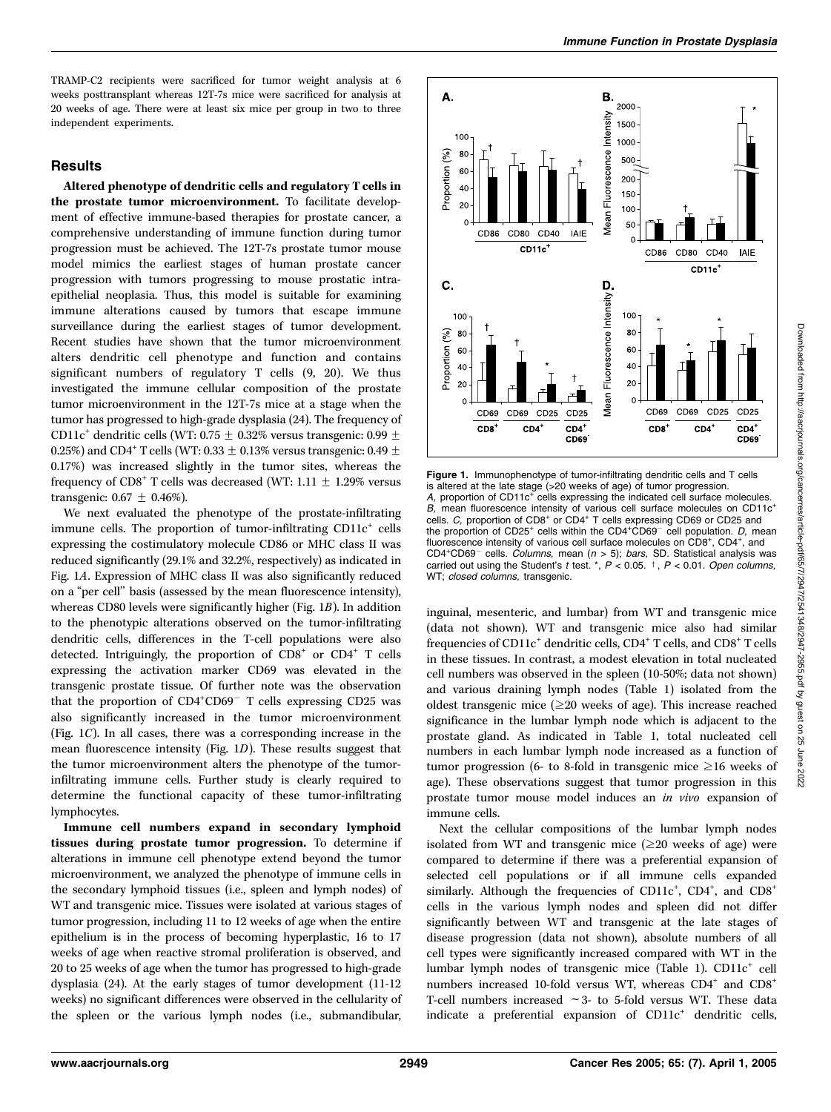TRAMP-C2 recipients were sacrificed for tumor weight analysis at 6 weeks posttransplant whereas 12T-7s mice were sacrificed for analysis at 20 weeks of age. There were at least six mice per group in two to three independent experiments.

### **Results**

Altered phenotype of dendritic cells and regulatory T cells in the prostate tumor microenvironment. To facilitate development of effective immune-based therapies for prostate cancer, a comprehensive understanding of immune function during tumor progression must be achieved. The 12T-7s prostate tumor mouse model mimics the earliest stages of human prostate cancer progression with tumors progressing to mouse prostatic intraepithelial neoplasia. Thus, this model is suitable for examining immune alterations caused by tumors that escape immune surveillance during the earliest stages of tumor development. Recent studies have shown that the tumor microenvironment alters dendritic cell phenotype and function and contains significant numbers of regulatory T cells (9, 20). We thus investigated the immune cellular composition of the prostate tumor microenvironment in the 12T-7s mice at a stage when the tumor has progressed to high-grade dysplasia (24). The frequency of CD11c<sup>+</sup> dendritic cells (WT: 0.75  $\pm$  0.32% versus transgenic: 0.99  $\pm$ 0.25%) and CD4<sup>+</sup> T cells (WT: 0.33  $\pm$  0.13% versus transgenic: 0.49  $\pm$ 0.17%) was increased slightly in the tumor sites, whereas the frequency of CD8<sup>+</sup> T cells was decreased (WT:  $1.11 \pm 1.29\%$  versus transgenic:  $0.67 \pm 0.46\%$ ).

We next evaluated the phenotype of the prostate-infiltrating immune cells. The proportion of tumor-infiltrating  $CD11c^+$  cells expressing the costimulatory molecule CD86 or MHC class II was reduced significantly (29.1% and 32.2%, respectively) as indicated in Fig. 1A. Expression of MHC class II was also significantly reduced on a ''per cell'' basis (assessed by the mean fluorescence intensity), whereas CD80 levels were significantly higher (Fig. 1B). In addition to the phenotypic alterations observed on the tumor-infiltrating dendritic cells, differences in the T-cell populations were also detected. Intriguingly, the proportion of  $CD8<sup>+</sup>$  or  $CD4<sup>+</sup>$  T cells expressing the activation marker CD69 was elevated in the transgenic prostate tissue. Of further note was the observation that the proportion of CD4<sup>+</sup>CD69<sup>-</sup> T cells expressing CD25 was also significantly increased in the tumor microenvironment (Fig. 1C). In all cases, there was a corresponding increase in the mean fluorescence intensity (Fig. 1D). These results suggest that the tumor microenvironment alters the phenotype of the tumorinfiltrating immune cells. Further study is clearly required to determine the functional capacity of these tumor-infiltrating lymphocytes.

Immune cell numbers expand in secondary lymphoid tissues during prostate tumor progression. To determine if alterations in immune cell phenotype extend beyond the tumor microenvironment, we analyzed the phenotype of immune cells in the secondary lymphoid tissues (i.e., spleen and lymph nodes) of WT and transgenic mice. Tissues were isolated at various stages of tumor progression, including 11 to 12 weeks of age when the entire epithelium is in the process of becoming hyperplastic, 16 to 17 weeks of age when reactive stromal proliferation is observed, and 20 to 25 weeks of age when the tumor has progressed to high-grade dysplasia (24). At the early stages of tumor development (11-12 weeks) no significant differences were observed in the cellularity of the spleen or the various lymph nodes (i.e., submandibular,



Figure 1. Immunophenotype of tumor-infiltrating dendritic cells and T cells is altered at the late stage (>20 weeks of age) of tumor progression. A, proportion of CD11c<sup>+</sup> cells expressing the indicated cell surface molecules. B, mean fluorescence intensity of various cell surface molecules on CD11c<sup>+</sup> cells. C, proportion of CD8<sup>+</sup> or CD4<sup>+</sup> T cells expressing CD69 or CD25 and the proportion of CD25<sup>+</sup> cells within the CD4<sup>+</sup>CD69<sup>-</sup> cell population. D, mean fluorescence intensity of various cell surface molecules on CD8+, CD4+, and CD4<sup>+</sup>CD69<sup>-</sup> cells. Columns, mean ( $n > 5$ ); bars, SD. Statistical analysis was carried out using the Student's t test. \*,  $P < 0.05$ . \*,  $P < 0.01$ . Open columns, WT; closed columns, transgenic.

inguinal, mesenteric, and lumbar) from WT and transgenic mice (data not shown). WT and transgenic mice also had similar frequencies of CD11c<sup>+</sup> dendritic cells, CD4<sup>+</sup> T cells, and CD8<sup>+</sup> T cells in these tissues. In contrast, a modest elevation in total nucleated cell numbers was observed in the spleen (10-50%; data not shown) and various draining lymph nodes (Table 1) isolated from the oldest transgenic mice  $(\geq 20$  weeks of age). This increase reached significance in the lumbar lymph node which is adjacent to the prostate gland. As indicated in Table 1, total nucleated cell numbers in each lumbar lymph node increased as a function of tumor progression (6- to 8-fold in transgenic mice  $\geq 16$  weeks of age). These observations suggest that tumor progression in this prostate tumor mouse model induces an in vivo expansion of immune cells.

Next the cellular compositions of the lumbar lymph nodes isolated from WT and transgenic mice  $(\geq 20$  weeks of age) were compared to determine if there was a preferential expansion of selected cell populations or if all immune cells expanded similarly. Although the frequencies of CD11c<sup>+</sup>, CD4<sup>+</sup>, and CD8<sup>+</sup> cells in the various lymph nodes and spleen did not differ significantly between WT and transgenic at the late stages of disease progression (data not shown), absolute numbers of all cell types were significantly increased compared with WT in the lumbar lymph nodes of transgenic mice (Table 1). CD11c<sup>+</sup> cell numbers increased 10-fold versus WT, whereas  $CD4^+$  and  $CD8^+$ T-cell numbers increased  $\sim$  3- to 5-fold versus WT. These data indicate a preferential expansion of  $CD11c<sup>+</sup>$  dendritic cells,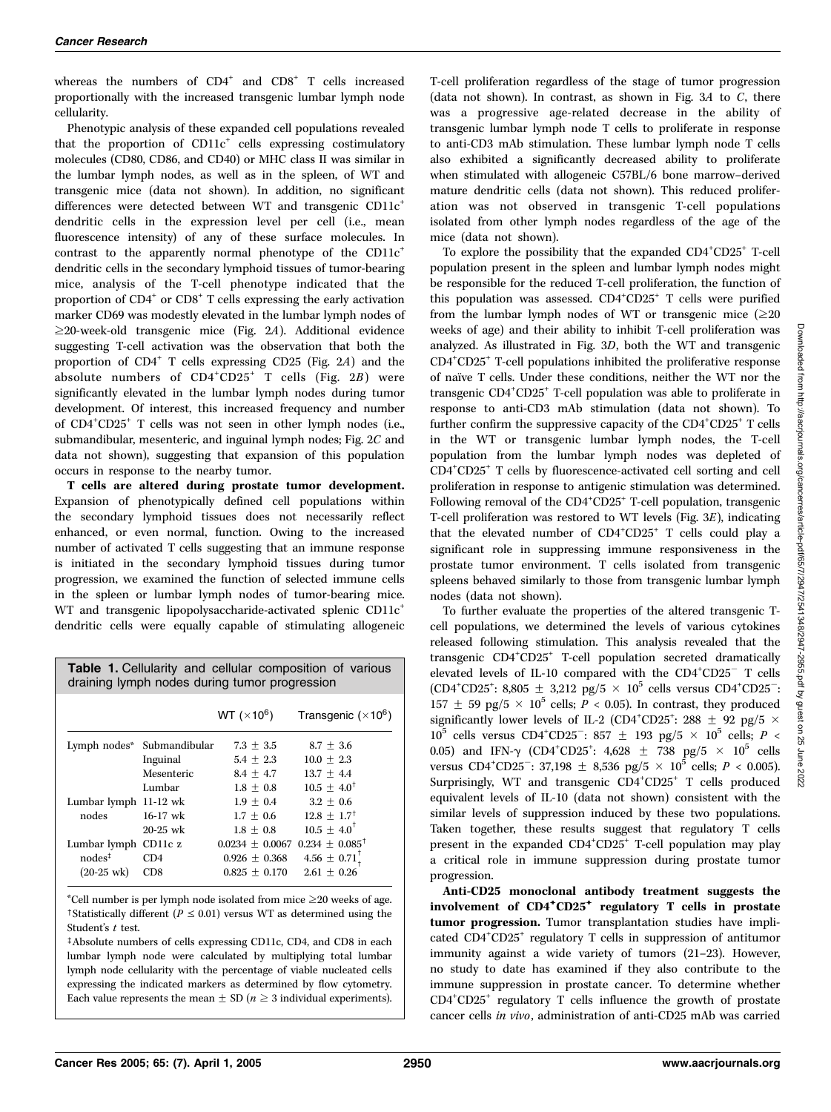whereas the numbers of  $CD4^+$  and  $CD8^+$  T cells increased proportionally with the increased transgenic lumbar lymph node cellularity.

Phenotypic analysis of these expanded cell populations revealed that the proportion of  $CD11c^+$  cells expressing costimulatory molecules (CD80, CD86, and CD40) or MHC class II was similar in the lumbar lymph nodes, as well as in the spleen, of WT and transgenic mice (data not shown). In addition, no significant differences were detected between WT and transgenic CD11c<sup>+</sup> dendritic cells in the expression level per cell (i.e., mean fluorescence intensity) of any of these surface molecules. In contrast to the apparently normal phenotype of the  $CD11c<sup>+</sup>$ dendritic cells in the secondary lymphoid tissues of tumor-bearing mice, analysis of the T-cell phenotype indicated that the proportion of  $CD4^+$  or  $CD8^+$  T cells expressing the early activation marker CD69 was modestly elevated in the lumbar lymph nodes of  $\geq$ 20-week-old transgenic mice (Fig. 2A). Additional evidence suggesting T-cell activation was the observation that both the proportion of  $CD4^+$  T cells expressing CD25 (Fig. 2A) and the absolute numbers of  $CD4^+CD25^+$  T cells (Fig. 2B) were significantly elevated in the lumbar lymph nodes during tumor development. Of interest, this increased frequency and number of CD4<sup>+</sup> CD25<sup>+</sup> T cells was not seen in other lymph nodes (i.e., submandibular, mesenteric, and inguinal lymph nodes; Fig. 2C and data not shown), suggesting that expansion of this population occurs in response to the nearby tumor.

T cells are altered during prostate tumor development. Expansion of phenotypically defined cell populations within the secondary lymphoid tissues does not necessarily reflect enhanced, or even normal, function. Owing to the increased number of activated T cells suggesting that an immune response is initiated in the secondary lymphoid tissues during tumor progression, we examined the function of selected immune cells in the spleen or lumbar lymph nodes of tumor-bearing mice. WT and transgenic lipopolysaccharide-activated splenic CD11c<sup>+</sup> dendritic cells were equally capable of stimulating allogeneic

| <b>Table 1.</b> Cellularity and cellular composition of various<br>draining lymph nodes during tumor progression |               |                    |                           |  |
|------------------------------------------------------------------------------------------------------------------|---------------|--------------------|---------------------------|--|
|                                                                                                                  |               | WT $(\times 10^6)$ | Transgenic $(x10^6)$      |  |
| Lymph nodes*                                                                                                     | Submandibular | $7.3 + 3.5$        | $8.7 + 3.6$               |  |
|                                                                                                                  | Inguinal      | $5.4 + 2.3$        | $10.0 + 2.3$              |  |
|                                                                                                                  | Mesenteric    | $8.4 + 4.7$        | $13.7 + 4.4$              |  |
|                                                                                                                  | Lumbar        | $1.8 + 0.8$        | $10.5 + 4.0^{\dagger}$    |  |
| Lumbar lymph 11-12 wk                                                                                            |               | $1.9 + 0.4$        | $3.2 + 0.6$               |  |
| nodes                                                                                                            | $16-17$ wk    | $1.7 + 0.6$        | $12.8 + 1.7^{\dagger}$    |  |
|                                                                                                                  | $20 - 25$ wk  | $1.8 + 0.8$        | $10.5 + 4.0^{\dagger}$    |  |
| Lumbar lymph CD11c z                                                                                             |               | $0.0234 + 0.0067$  | $0.234 + 0.085^{\dagger}$ |  |
| $nodes^{\ddagger}$                                                                                               | CD4           | $0.926 + 0.368$    | $4.56 \pm 0.71^{+}_{+}$   |  |
| $(20-25 \text{ wk})$                                                                                             | CD8           | $0.825 + 0.170$    | $2.61 + 0.26$             |  |
|                                                                                                                  |               |                    |                           |  |

\*Cell number is per lymph node isolated from mice  $\geq$ 20 weeks of age. <sup>†</sup>Statistically different ( $P \le 0.01$ ) versus WT as determined using the Student's t test.

 $\text{\texttt{#Absolute numbers}}$  of cells expressing CD11c, CD4, and CD8 in each lumbar lymph node were calculated by multiplying total lumbar lymph node cellularity with the percentage of viable nucleated cells expressing the indicated markers as determined by flow cytometry. Each value represents the mean  $\pm$  SD ( $n \geq 3$  individual experiments).

T-cell proliferation regardless of the stage of tumor progression (data not shown). In contrast, as shown in Fig.  $3A$  to C, there was a progressive age-related decrease in the ability of transgenic lumbar lymph node T cells to proliferate in response to anti-CD3 mAb stimulation. These lumbar lymph node T cells also exhibited a significantly decreased ability to proliferate when stimulated with allogeneic C57BL/6 bone marrow–derived mature dendritic cells (data not shown). This reduced proliferation was not observed in transgenic T-cell populations isolated from other lymph nodes regardless of the age of the mice (data not shown).

To explore the possibility that the expanded CD4<sup>+</sup>CD25<sup>+</sup> T-cell population present in the spleen and lumbar lymph nodes might be responsible for the reduced T-cell proliferation, the function of this population was assessed.  $CD4^+CD25^+$  T cells were purified from the lumbar lymph nodes of WT or transgenic mice  $(\geq 20)$ weeks of age) and their ability to inhibit T-cell proliferation was analyzed. As illustrated in Fig. 3D, both the WT and transgenic CD4<sup>+</sup> CD25<sup>+</sup> T-cell populations inhibited the proliferative response of naïve T cells. Under these conditions, neither the WT nor the transgenic CD4<sup>+</sup>CD25<sup>+</sup> T-cell population was able to proliferate in response to anti-CD3 mAb stimulation (data not shown). To further confirm the suppressive capacity of the CD4<sup>+</sup>CD25<sup>+</sup> T cells in the WT or transgenic lumbar lymph nodes, the T-cell population from the lumbar lymph nodes was depleted of CD4<sup>+</sup> CD25<sup>+</sup> T cells by fluorescence-activated cell sorting and cell proliferation in response to antigenic stimulation was determined. Following removal of the CD4+CD25+ T-cell population, transgenic T-cell proliferation was restored to WT levels (Fig. 3E), indicating that the elevated number of CD4<sup>+</sup>CD25<sup>+</sup> T cells could play a significant role in suppressing immune responsiveness in the prostate tumor environment. T cells isolated from transgenic spleens behaved similarly to those from transgenic lumbar lymph nodes (data not shown).

To further evaluate the properties of the altered transgenic Tcell populations, we determined the levels of various cytokines released following stimulation. This analysis revealed that the transgenic CD4<sup>+</sup> CD25<sup>+</sup> T-cell population secreted dramatically elevated levels of IL-10 compared with the CD4+CD25 T cells  $(CD4^{\dagger}CD25^{\dagger}: 8,805 \pm 3,212 \text{ pg}/5 \times 10^5 \text{ cells} \text{ versus } CD4^{\dagger}CD25^{-}$ :  $157 \pm 59$  pg/5  $\times$  10<sup>5</sup> cells; P < 0.05). In contrast, they produced significantly lower levels of IL-2 (CD4<sup>+</sup>CD25<sup>+</sup>: 288  $\pm$  92 pg/5  $\times$  $10^5$  cells versus CD4<sup>+</sup>CD25<sup>-</sup>: 857  $\pm$  193 pg/5  $\times$  10<sup>5</sup> cells; P < 0.05) and IFN- $\gamma$  (CD4<sup>+</sup>CD25<sup>+</sup>: 4,628  $\pm$  738 pg/5  $\times$  10<sup>5</sup> cells versus CD4<sup>+</sup>CD25<sup>-</sup>: 37,198  $\pm$  8,536 pg/5  $\times$  10<sup>5</sup> cells; *P* < 0.005). Surprisingly, WT and transgenic  $CD4^+CD25^+$  T cells produced equivalent levels of IL-10 (data not shown) consistent with the similar levels of suppression induced by these two populations. Taken together, these results suggest that regulatory T cells present in the expanded CD4<sup>+</sup>CD25<sup>+</sup> T-cell population may play a critical role in immune suppression during prostate tumor progression.

Anti-CD25 monoclonal antibody treatment suggests the involvement of  $CD4^+CD25^+$  regulatory T cells in prostate tumor progression. Tumor transplantation studies have implicated CD4<sup>+</sup>CD25<sup>+</sup> regulatory T cells in suppression of antitumor immunity against a wide variety of tumors (21–23). However, no study to date has examined if they also contribute to the immune suppression in prostate cancer. To determine whether CD4<sup>+</sup> CD25<sup>+</sup> regulatory T cells influence the growth of prostate cancer cells in vivo, administration of anti-CD25 mAb was carried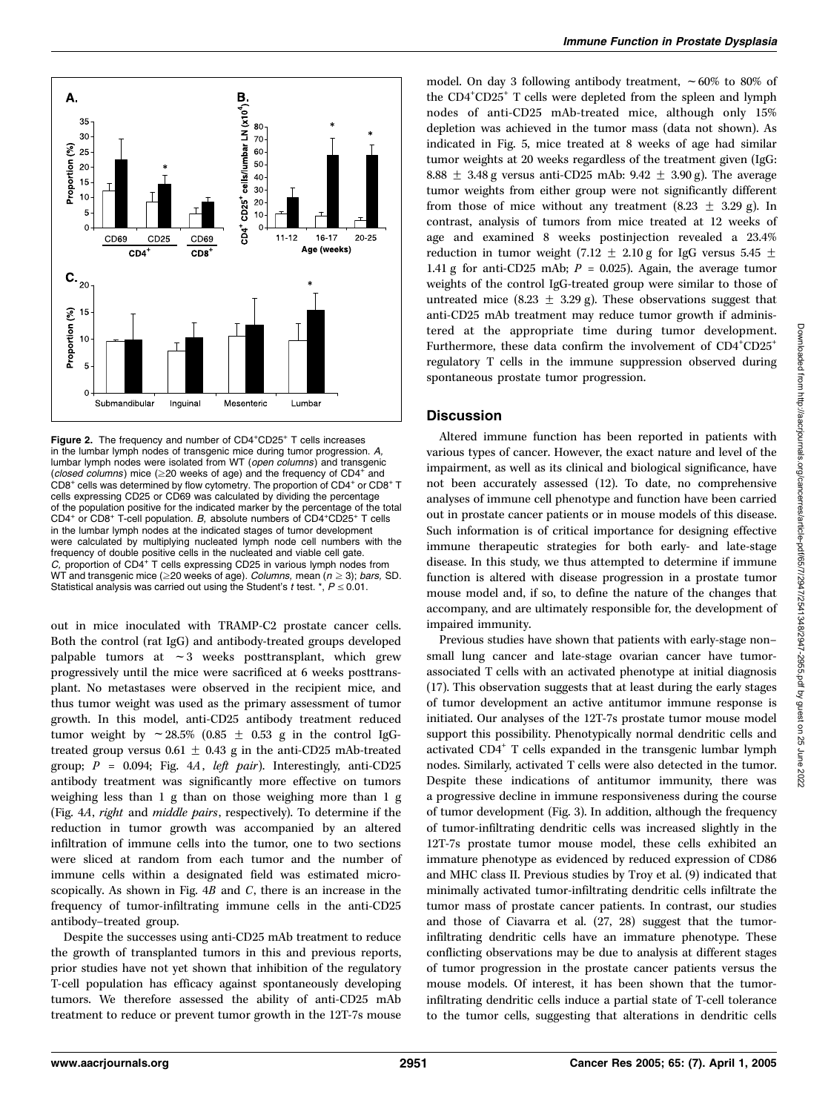

Figure 2. The frequency and number of CD4<sup>+</sup>CD25<sup>+</sup> T cells increases in the lumbar lymph nodes of transgenic mice during tumor progression. A, lumbar lymph nodes were isolated from WT (open columns) and transgenic (closed columns) mice ( $\geq$ 20 weeks of age) and the frequency of CD4<sup>+</sup> and CD8<sup>+</sup> cells was determined by flow cytometry. The proportion of CD4<sup>+</sup> or CD8<sup>+</sup> T cells expressing CD25 or CD69 was calculated by dividing the percentage of the population positive for the indicated marker by the percentage of the total CD4<sup>+</sup> or CD8<sup>+</sup> T-cell population. B, absolute numbers of CD4<sup>+</sup>CD25<sup>+</sup> T cells in the lumbar lymph nodes at the indicated stages of tumor development were calculated by multiplying nucleated lymph node cell numbers with the frequency of double positive cells in the nucleated and viable cell gate. C, proportion of CD4<sup>+</sup> T cells expressing CD25 in various lymph nodes from WT and transgenic mice (≥20 weeks of age). *Columns,* mean (*n* ≥ 3); *bars,* SD.<br>Statistical analysis was carried out using the Student's *t* test. \*, *P* ≤ 0.01.

out in mice inoculated with TRAMP-C2 prostate cancer cells. Both the control (rat IgG) and antibody-treated groups developed palpable tumors at  $\sim$  3 weeks posttransplant, which grew progressively until the mice were sacrificed at 6 weeks posttransplant. No metastases were observed in the recipient mice, and thus tumor weight was used as the primary assessment of tumor growth. In this model, anti-CD25 antibody treatment reduced tumor weight by  $\sim 28.5\%$  (0.85  $\pm$  0.53 g in the control IgGtreated group versus  $0.61 \pm 0.43$  g in the anti-CD25 mAb-treated group;  $P = 0.094$ ; Fig. 4A, left pair). Interestingly, anti-CD25 antibody treatment was significantly more effective on tumors weighing less than 1 g than on those weighing more than 1 g (Fig. 4A, right and middle pairs, respectively). To determine if the reduction in tumor growth was accompanied by an altered infiltration of immune cells into the tumor, one to two sections were sliced at random from each tumor and the number of immune cells within a designated field was estimated microscopically. As shown in Fig.  $4B$  and C, there is an increase in the frequency of tumor-infiltrating immune cells in the anti-CD25 antibody–treated group.

Despite the successes using anti-CD25 mAb treatment to reduce the growth of transplanted tumors in this and previous reports, prior studies have not yet shown that inhibition of the regulatory T-cell population has efficacy against spontaneously developing tumors. We therefore assessed the ability of anti-CD25 mAb treatment to reduce or prevent tumor growth in the 12T-7s mouse

model. On day 3 following antibody treatment,  $\sim 60\%$  to 80% of the CD4<sup>+</sup>CD25<sup>+</sup> T cells were depleted from the spleen and lymph nodes of anti-CD25 mAb-treated mice, although only 15% depletion was achieved in the tumor mass (data not shown). As indicated in Fig. 5, mice treated at 8 weeks of age had similar tumor weights at 20 weeks regardless of the treatment given (IgG: 8.88  $\pm$  3.48 g versus anti-CD25 mAb: 9.42  $\pm$  3.90 g). The average tumor weights from either group were not significantly different from those of mice without any treatment  $(8.23 \pm 3.29 \text{ g})$ . In contrast, analysis of tumors from mice treated at 12 weeks of age and examined 8 weeks postinjection revealed a 23.4% reduction in tumor weight (7.12  $\pm$  2.10 g for IgG versus 5.45  $\pm$ 1.41 g for anti-CD25 mAb;  $P = 0.025$ ). Again, the average tumor weights of the control IgG-treated group were similar to those of untreated mice (8.23  $\pm$  3.29 g). These observations suggest that anti-CD25 mAb treatment may reduce tumor growth if administered at the appropriate time during tumor development. Furthermore, these data confirm the involvement of CD4<sup>+</sup>CD25<sup>+</sup> regulatory T cells in the immune suppression observed during spontaneous prostate tumor progression.

### **Discussion**

Altered immune function has been reported in patients with various types of cancer. However, the exact nature and level of the impairment, as well as its clinical and biological significance, have not been accurately assessed (12). To date, no comprehensive analyses of immune cell phenotype and function have been carried out in prostate cancer patients or in mouse models of this disease. Such information is of critical importance for designing effective immune therapeutic strategies for both early- and late-stage disease. In this study, we thus attempted to determine if immune function is altered with disease progression in a prostate tumor mouse model and, if so, to define the nature of the changes that accompany, and are ultimately responsible for, the development of impaired immunity.

Previous studies have shown that patients with early-stage non– small lung cancer and late-stage ovarian cancer have tumorassociated T cells with an activated phenotype at initial diagnosis (17). This observation suggests that at least during the early stages of tumor development an active antitumor immune response is initiated. Our analyses of the 12T-7s prostate tumor mouse model support this possibility. Phenotypically normal dendritic cells and activated CD4+ T cells expanded in the transgenic lumbar lymph nodes. Similarly, activated T cells were also detected in the tumor. Despite these indications of antitumor immunity, there was a progressive decline in immune responsiveness during the course of tumor development (Fig. 3). In addition, although the frequency of tumor-infiltrating dendritic cells was increased slightly in the 12T-7s prostate tumor mouse model, these cells exhibited an immature phenotype as evidenced by reduced expression of CD86 and MHC class II. Previous studies by Troy et al. (9) indicated that minimally activated tumor-infiltrating dendritic cells infiltrate the tumor mass of prostate cancer patients. In contrast, our studies and those of Ciavarra et al. (27, 28) suggest that the tumorinfiltrating dendritic cells have an immature phenotype. These conflicting observations may be due to analysis at different stages of tumor progression in the prostate cancer patients versus the mouse models. Of interest, it has been shown that the tumorinfiltrating dendritic cells induce a partial state of T-cell tolerance to the tumor cells, suggesting that alterations in dendritic cells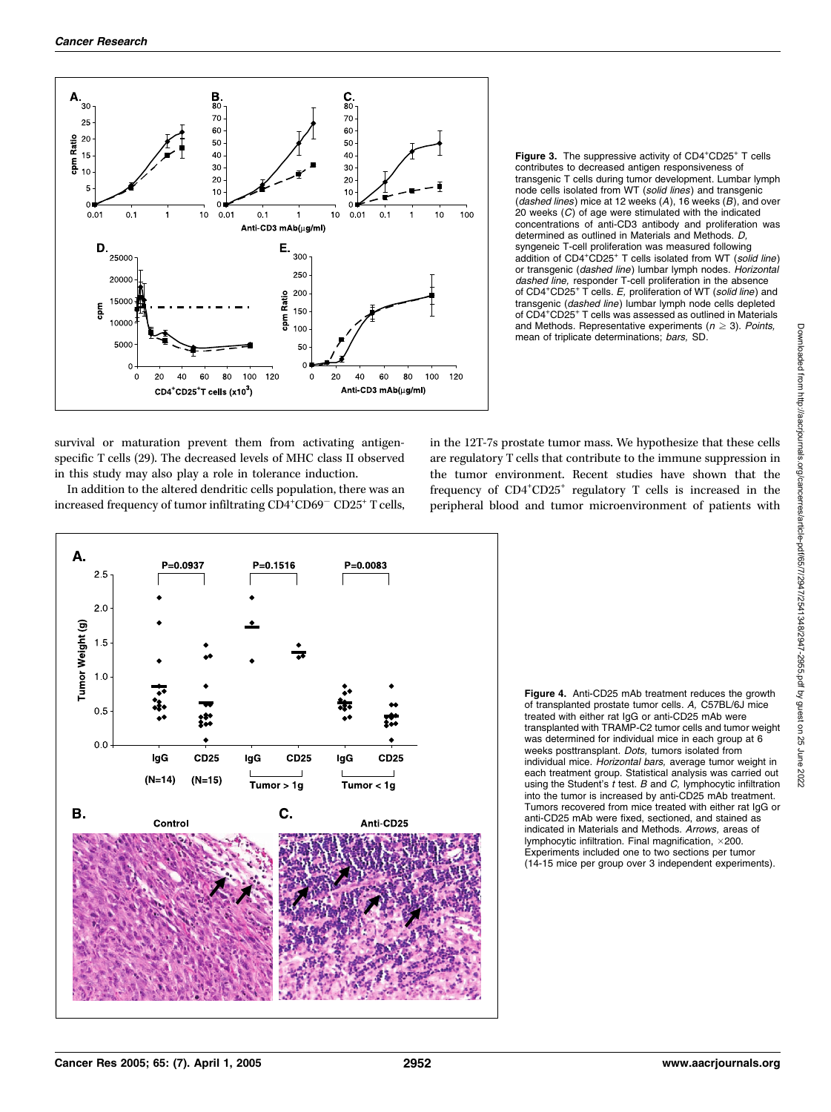

Figure 3. The suppressive activity of CD4+CD25+ T cells contributes to decreased antigen responsiveness of transgenic T cells during tumor development. Lumbar lymph node cells isolated from WT (solid lines) and transgenic (dashed lines) mice at 12 weeks  $(A)$ , 16 weeks  $(B)$ , and over 20 weeks (C) of age were stimulated with the indicated concentrations of anti-CD3 antibody and proliferation was determined as outlined in Materials and Methods. D, syngeneic T-cell proliferation was measured following addition of CD4<sup>+</sup>CD25<sup>+</sup> T cells isolated from WT (solid line) or transgenic (dashed line) lumbar lymph nodes. Horizontal dashed line, responder T-cell proliferation in the absence of CD4<sup>+</sup>CD25<sup>+</sup> T cells. E, proliferation of WT (solid line) and transgenic (dashed line) lumbar lymph node cells depleted of CD4<sup>+</sup> CD25<sup>+</sup> T cells was assessed as outlined in Materials and Methods. Representative experiments ( $n \geq 3$ ). Points, mean of triplicate determinations; bars, SD.

survival or maturation prevent them from activating antigenspecific T cells (29). The decreased levels of MHC class II observed in this study may also play a role in tolerance induction.

In addition to the altered dendritic cells population, there was an increased frequency of tumor infiltrating CD4<sup>+</sup>CD69<sup>-</sup> CD25<sup>+</sup> T cells,

in the 12T-7s prostate tumor mass. We hypothesize that these cells are regulatory T cells that contribute to the immune suppression in the tumor environment. Recent studies have shown that the frequency of  $CD4^+CD25^+$  regulatory T cells is increased in the peripheral blood and tumor microenvironment of patients with



Figure 4. Anti-CD25 mAb treatment reduces the growth of transplanted prostate tumor cells. A, C57BL/6J mice treated with either rat IgG or anti-CD25 mAb were transplanted with TRAMP-C2 tumor cells and tumor weight was determined for individual mice in each group at 6 weeks posttransplant. Dots, tumors isolated from individual mice. Horizontal bars, average tumor weight in each treatment group. Statistical analysis was carried out using the Student's  $t$  test.  $B$  and  $C$ , lymphocytic infiltration into the tumor is increased by anti-CD25 mAb treatment. Tumors recovered from mice treated with either rat IgG or anti-CD25 mAb were fixed, sectioned, and stained as indicated in Materials and Methods. Arrows, areas of lymphocytic infiltration. Final magnification, ×200. Experiments included one to two sections per tumor (14-15 mice per group over 3 independent experiments).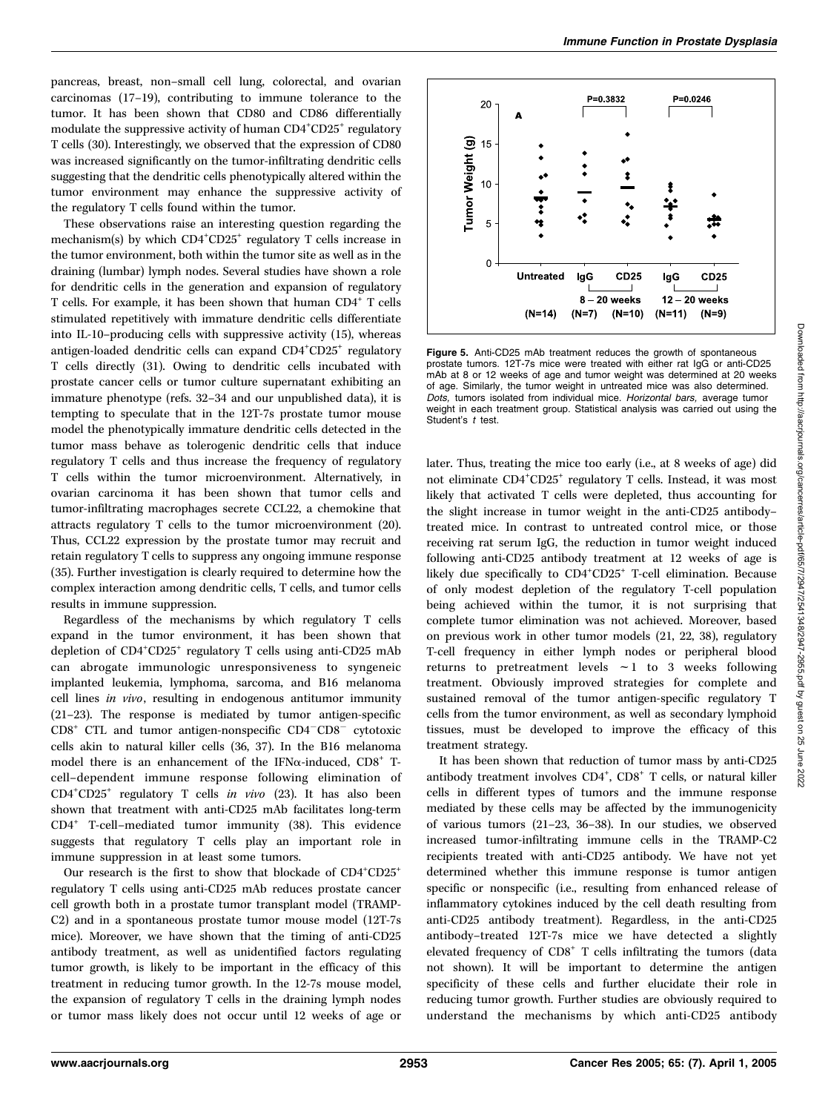pancreas, breast, non–small cell lung, colorectal, and ovarian carcinomas (17–19), contributing to immune tolerance to the tumor. It has been shown that CD80 and CD86 differentially modulate the suppressive activity of human CD4<sup>+</sup>CD25<sup>+</sup> regulatory T cells (30). Interestingly, we observed that the expression of CD80 was increased significantly on the tumor-infiltrating dendritic cells suggesting that the dendritic cells phenotypically altered within the tumor environment may enhance the suppressive activity of the regulatory T cells found within the tumor.

These observations raise an interesting question regarding the mechanism(s) by which  $CD4^+CD25^+$  regulatory T cells increase in the tumor environment, both within the tumor site as well as in the draining (lumbar) lymph nodes. Several studies have shown a role for dendritic cells in the generation and expansion of regulatory T cells. For example, it has been shown that human CD4+ T cells stimulated repetitively with immature dendritic cells differentiate into IL-10–producing cells with suppressive activity (15), whereas antigen-loaded dendritic cells can expand CD4+CD25+ regulatory T cells directly (31). Owing to dendritic cells incubated with prostate cancer cells or tumor culture supernatant exhibiting an immature phenotype (refs. 32–34 and our unpublished data), it is tempting to speculate that in the 12T-7s prostate tumor mouse model the phenotypically immature dendritic cells detected in the tumor mass behave as tolerogenic dendritic cells that induce regulatory T cells and thus increase the frequency of regulatory T cells within the tumor microenvironment. Alternatively, in ovarian carcinoma it has been shown that tumor cells and tumor-infiltrating macrophages secrete CCL22, a chemokine that attracts regulatory T cells to the tumor microenvironment (20). Thus, CCL22 expression by the prostate tumor may recruit and retain regulatory T cells to suppress any ongoing immune response (35). Further investigation is clearly required to determine how the complex interaction among dendritic cells, T cells, and tumor cells results in immune suppression.

Regardless of the mechanisms by which regulatory T cells expand in the tumor environment, it has been shown that depletion of CD4<sup>+</sup>CD25<sup>+</sup> regulatory T cells using anti-CD25 mAb can abrogate immunologic unresponsiveness to syngeneic implanted leukemia, lymphoma, sarcoma, and B16 melanoma cell lines in vivo, resulting in endogenous antitumor immunity (21–23). The response is mediated by tumor antigen-specific CD8<sup>+</sup> CTL and tumor antigen-nonspecific CD4<sup>-</sup>CD8<sup>-</sup> cytotoxic cells akin to natural killer cells (36, 37). In the B16 melanoma model there is an enhancement of the IFN $\alpha$ -induced, CD8<sup>+</sup> Tcell–dependent immune response following elimination of CD4<sup>+</sup>CD25<sup>+</sup> regulatory T cells in vivo (23). It has also been shown that treatment with anti-CD25 mAb facilitates long-term CD4<sup>+</sup> T-cell–mediated tumor immunity (38). This evidence suggests that regulatory T cells play an important role in immune suppression in at least some tumors.

Our research is the first to show that blockade of CD4<sup>+</sup>CD25<sup>+</sup> regulatory T cells using anti-CD25 mAb reduces prostate cancer cell growth both in a prostate tumor transplant model (TRAMP-C2) and in a spontaneous prostate tumor mouse model (12T-7s mice). Moreover, we have shown that the timing of anti-CD25 antibody treatment, as well as unidentified factors regulating tumor growth, is likely to be important in the efficacy of this treatment in reducing tumor growth. In the 12-7s mouse model, the expansion of regulatory T cells in the draining lymph nodes or tumor mass likely does not occur until 12 weeks of age or



Figure 5. Anti-CD25 mAb treatment reduces the growth of spontaneous prostate tumors. 12T-7s mice were treated with either rat IgG or anti-CD25 mAb at 8 or 12 weeks of age and tumor weight was determined at 20 weeks of age. Similarly, the tumor weight in untreated mice was also determined. Dots, tumors isolated from individual mice. Horizontal bars, average tumor weight in each treatment group. Statistical analysis was carried out using the Student's t test.

later. Thus, treating the mice too early (i.e., at 8 weeks of age) did not eliminate CD4<sup>+</sup> CD25+ regulatory T cells. Instead, it was most likely that activated T cells were depleted, thus accounting for the slight increase in tumor weight in the anti-CD25 antibody– treated mice. In contrast to untreated control mice, or those receiving rat serum IgG, the reduction in tumor weight induced following anti-CD25 antibody treatment at 12 weeks of age is likely due specifically to CD4<sup>+</sup>CD25<sup>+</sup> T-cell elimination. Because of only modest depletion of the regulatory T-cell population being achieved within the tumor, it is not surprising that complete tumor elimination was not achieved. Moreover, based on previous work in other tumor models (21, 22, 38), regulatory T-cell frequency in either lymph nodes or peripheral blood returns to pretreatment levels  $\sim$  1 to 3 weeks following treatment. Obviously improved strategies for complete and sustained removal of the tumor antigen-specific regulatory T cells from the tumor environment, as well as secondary lymphoid tissues, must be developed to improve the efficacy of this treatment strategy.

It has been shown that reduction of tumor mass by anti-CD25 antibody treatment involves CD4<sup>+</sup>, CD8<sup>+</sup> T cells, or natural killer cells in different types of tumors and the immune response mediated by these cells may be affected by the immunogenicity of various tumors (21–23, 36–38). In our studies, we observed increased tumor-infiltrating immune cells in the TRAMP-C2 recipients treated with anti-CD25 antibody. We have not yet determined whether this immune response is tumor antigen specific or nonspecific (i.e., resulting from enhanced release of inflammatory cytokines induced by the cell death resulting from anti-CD25 antibody treatment). Regardless, in the anti-CD25 antibody–treated 12T-7s mice we have detected a slightly elevated frequency of  $CD8<sup>+</sup>$  T cells infiltrating the tumors (data not shown). It will be important to determine the antigen specificity of these cells and further elucidate their role in reducing tumor growth. Further studies are obviously required to understand the mechanisms by which anti-CD25 antibody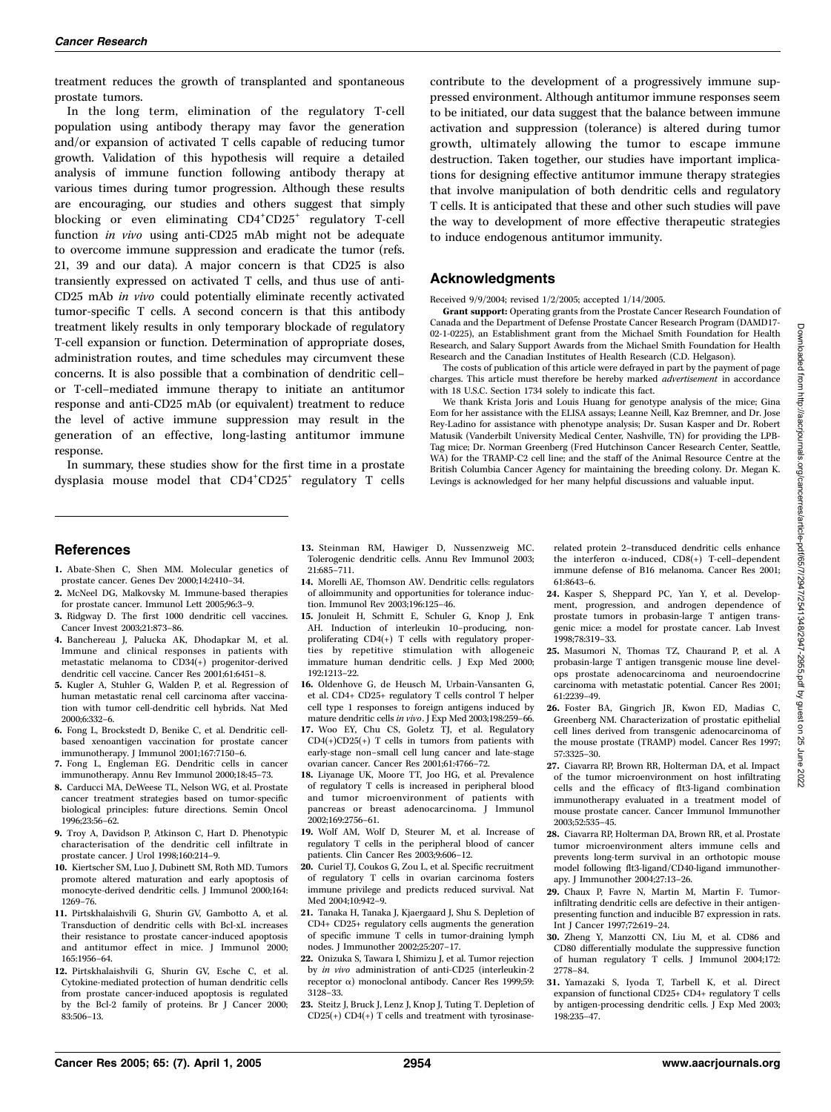treatment reduces the growth of transplanted and spontaneous prostate tumors.

In the long term, elimination of the regulatory T-cell population using antibody therapy may favor the generation and/or expansion of activated T cells capable of reducing tumor growth. Validation of this hypothesis will require a detailed analysis of immune function following antibody therapy at various times during tumor progression. Although these results are encouraging, our studies and others suggest that simply blocking or even eliminating CD4+CD25+ regulatory T-cell function in vivo using anti-CD25 mAb might not be adequate to overcome immune suppression and eradicate the tumor (refs. 21, 39 and our data). A major concern is that CD25 is also transiently expressed on activated T cells, and thus use of anti-CD25 mAb in vivo could potentially eliminate recently activated tumor-specific T cells. A second concern is that this antibody treatment likely results in only temporary blockade of regulatory T-cell expansion or function. Determination of appropriate doses, administration routes, and time schedules may circumvent these concerns. It is also possible that a combination of dendritic cell– or T-cell–mediated immune therapy to initiate an antitumor response and anti-CD25 mAb (or equivalent) treatment to reduce the level of active immune suppression may result in the generation of an effective, long-lasting antitumor immune response.

In summary, these studies show for the first time in a prostate dysplasia mouse model that CD4+CD25+ regulatory T cells

contribute to the development of a progressively immune suppressed environment. Although antitumor immune responses seem to be initiated, our data suggest that the balance between immune activation and suppression (tolerance) is altered during tumor growth, ultimately allowing the tumor to escape immune destruction. Taken together, our studies have important implications for designing effective antitumor immune therapy strategies that involve manipulation of both dendritic cells and regulatory T cells. It is anticipated that these and other such studies will pave the way to development of more effective therapeutic strategies to induce endogenous antitumor immunity.

### Acknowledgments

Received 9/9/2004; revised 1/2/2005; accepted 1/14/2005.

Grant support: Operating grants from the Prostate Cancer Research Foundation of Canada and the Department of Defense Prostate Cancer Research Program (DAMD17- 02-1-0225), an Establishment grant from the Michael Smith Foundation for Health Research, and Salary Support Awards from the Michael Smith Foundation for Health Research and the Canadian Institutes of Health Research (C.D. Helgason).

The costs of publication of this article were defrayed in part by the payment of page charges. This article must therefore be hereby marked advertisement in accordance with 18 U.S.C. Section 1734 solely to indicate this fact.

We thank Krista Joris and Louis Huang for genotype analysis of the mice; Gina Eom for her assistance with the ELISA assays; Leanne Neill, Kaz Bremner, and Dr. Jose Rey-Ladino for assistance with phenotype analysis; Dr. Susan Kasper and Dr. Robert Matusik (Vanderbilt University Medical Center, Nashville, TN) for providing the LPB-Tag mice; Dr. Norman Greenberg (Fred Hutchinson Cancer Research Center, Seattle, WA) for the TRAMP-C2 cell line; and the staff of the Animal Resource Centre at the British Columbia Cancer Agency for maintaining the breeding colony. Dr. Megan K. Levings is acknowledged for her many helpful discussions and valuable input.

### **References**

- 1. Abate-Shen C, Shen MM. Molecular genetics of prostate cancer. Genes Dev 2000;14:2410–34.
- 2. McNeel DG, Malkovsky M. Immune-based therapies for prostate cancer. Immunol Lett 2005;96:3–9.
- 3. Ridgway D. The first 1000 dendritic cell vaccines. Cancer Invest 2003;21:873–86.
- 4. Banchereau J, Palucka AK, Dhodapkar M, et al. Immune and clinical responses in patients with metastatic melanoma to CD34(+) progenitor-derived dendritic cell vaccine. Cancer Res 2001;61:6451–8.
- 5. Kugler A, Stuhler G, Walden P, et al. Regression of human metastatic renal cell carcinoma after vaccination with tumor cell-dendritic cell hybrids. Nat Med 2000;6:332–6.
- 6. Fong L, Brockstedt D, Benike C, et al. Dendritic cellbased xenoantigen vaccination for prostate cancer immunotherapy. J Immunol 2001;167:7150–6.
- 7. Fong L, Engleman EG. Dendritic cells in cancer immunotherapy. Annu Rev Immunol 2000;18:45–73.
- 8. Carducci MA, DeWeese TL, Nelson WG, et al. Prostate cancer treatment strategies based on tumor-specific biological principles: future directions. Semin Oncol 1996;23:56–62.
- 9. Troy A, Davidson P, Atkinson C, Hart D. Phenotypic characterisation of the dendritic cell infiltrate in prostate cancer. J Urol 1998;160:214–9.
- 10. Kiertscher SM, Luo J, Dubinett SM, Roth MD. Tumors promote altered maturation and early apoptosis of monocyte-derived dendritic cells. J Immunol 2000;164: 1269–76.
- 11. Pirtskhalaishvili G, Shurin GV, Gambotto A, et al. Transduction of dendritic cells with Bcl-xL increases their resistance to prostate cancer-induced apoptosis and antitumor effect in mice. J Immunol 2000; 165:1956–64.
- 12. Pirtskhalaishvili G, Shurin GV, Esche C, et al. Cytokine-mediated protection of human dendritic cells from prostate cancer-induced apoptosis is regulated by the Bcl-2 family of proteins. Br J Cancer 2000; 83:506–13.
- 13. Steinman RM, Hawiger D, Nussenzweig MC. Tolerogenic dendritic cells. Annu Rev Immunol 2003; 21:685–711.
- 14. Morelli AE, Thomson AW. Dendritic cells: regulators of alloimmunity and opportunities for tolerance induction. Immunol Rev 2003;196:125–46.
- 15. Jonuleit H, Schmitt E, Schuler G, Knop J, Enk AH. Induction of interleukin 10–producing, nonproliferating CD4(+) T cells with regulatory properties by repetitive stimulation with allogeneic immature human dendritic cells. J Exp Med 2000; 192:1213–22.
- 16. Oldenhove G, de Heusch M, Urbain-Vansanten G, et al. CD4+ CD25+ regulatory T cells control T helper cell type 1 responses to foreign antigens induced by mature dendritic cells in vivo. J Exp Med 2003;198:259–66.
- 17. Woo EY, Chu CS, Goletz TJ, et al. Regulatory CD4(+)CD25(+) T cells in tumors from patients with early-stage non–small cell lung cancer and late-stage ovarian cancer. Cancer Res 2001;61:4766–72.
- 18. Liyanage UK, Moore TT, Joo HG, et al. Prevalence of regulatory T cells is increased in peripheral blood and tumor microenvironment of patients with pancreas or breast adenocarcinoma. J Immunol 2002;169:2756–61.
- 19. Wolf AM, Wolf D, Steurer M, et al. Increase of regulatory T cells in the peripheral blood of cancer patients. Clin Cancer Res 2003;9:606–12.
- 20. Curiel TJ, Coukos G, Zou L, et al. Specific recruitment of regulatory T cells in ovarian carcinoma fosters immune privilege and predicts reduced survival. Nat Med 2004;10:942–9.
- 21. Tanaka H, Tanaka J, Kjaergaard J, Shu S. Depletion of CD4+ CD25+ regulatory cells augments the generation of specific immune T cells in tumor-draining lymph nodes. J Immunother 2002;25:207–17.
- 22. Onizuka S, Tawara I, Shimizu J, et al. Tumor rejection by in vivo administration of anti-CD25 (interleukin-2 receptor  $\alpha$ ) monoclonal antibody. Cancer Res 1999;59: 3128–33.
- 23. Steitz J, Bruck J, Lenz J, Knop J, Tuting T. Depletion of CD25(+) CD4(+) T cells and treatment with tyrosinase-

related protein 2–transduced dendritic cells enhance the interferon  $\alpha$ -induced, CD8(+) T-cell-dependent immune defense of B16 melanoma. Cancer Res 2001; 61:8643–6.

- 24. Kasper S, Sheppard PC, Yan Y, et al. Development, progression, and androgen dependence of prostate tumors in probasin-large T antigen transgenic mice: a model for prostate cancer. Lab Invest 1998;78:319–33.
- 25. Masumori N, Thomas TZ, Chaurand P, et al. A probasin-large T antigen transgenic mouse line develops prostate adenocarcinoma and neuroendocrine carcinoma with metastatic potential. Cancer Res 2001; 61:2239–49.
- 26. Foster BA, Gingrich JR, Kwon ED, Madias C, Greenberg NM. Characterization of prostatic epithelial cell lines derived from transgenic adenocarcinoma of the mouse prostate (TRAMP) model. Cancer Res 1997; 57:3325–30.
- 27. Ciavarra RP, Brown RR, Holterman DA, et al. Impact of the tumor microenvironment on host infiltrating cells and the efficacy of flt3-ligand combination immunotherapy evaluated in a treatment model of mouse prostate cancer. Cancer Immunol Immunother 2003;52:535–45.
- 28. Ciavarra RP, Holterman DA, Brown RR, et al. Prostate tumor microenvironment alters immune cells and prevents long-term survival in an orthotopic mouse model following flt3-ligand/CD40-ligand immunotherapy. J Immunother 2004;27:13–26.
- 29. Chaux P, Favre N, Martin M, Martin F. Tumorinfiltrating dendritic cells are defective in their antigenpresenting function and inducible B7 expression in rats. Int J Cancer 1997;72:619–24.
- 30. Zheng Y, Manzotti CN, Liu M, et al. CD86 and CD80 differentially modulate the suppressive function of human regulatory T cells. J Immunol 2004;172: 2778–84.
- 31. Yamazaki S, Iyoda T, Tarbell K, et al. Direct expansion of functional CD25+ CD4+ regulatory T cells by antigen-processing dendritic cells. J Exp Med 2003; 198:235–47.